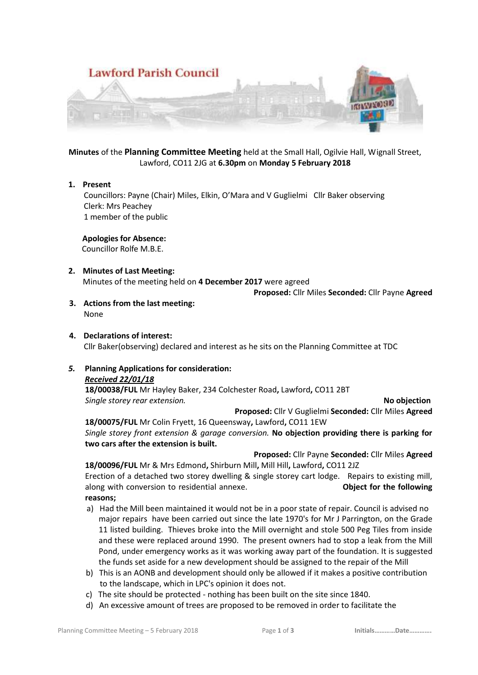

**Minutes** of the **Planning Committee Meeting** held at the Small Hall, Ogilvie Hall, Wignall Street, Lawford, CO11 2JG at **6.30pm** on **Monday 5 February 2018**

#### **1. Present**

 Councillors: Payne (Chair) Miles, Elkin, O'Mara and V Guglielmi Cllr Baker observing Clerk: Mrs Peachey 1 member of the public

 **Apologies for Absence:**

Councillor Rolfe M.B.E.

# **2. Minutes of Last Meeting:**

Minutes of the meeting held on **4 December 2017** were agreed

**Proposed:** Cllr Miles **Seconded:** Cllr Payne **Agreed**

**3. Actions from the last meeting:** None

## **4. Declarations of interest:** Cllr Baker(observing) declared and interest as he sits on the Planning Committee at TDC

## *5.* **Planning Applications for consideration:**

#### *Received 22/01/18*

**18/00038/FUL** Mr Hayley Baker, 234 Colchester Road**,** Lawford**,** CO11 2BT *Single storey rear extension.* **No objection**

**Proposed:** Cllr V Guglielmi **Seconded:** Cllr Miles **Agreed 18/00075/FUL** Mr Colin Fryett, 16 Queensway**,** Lawford**,** CO11 1EW

*Single storey front extension & garage conversion.* **No objection providing there is parking for two cars after the extension is built.**

**Proposed:** Cllr Payne **Seconded:** Cllr Miles **Agreed 18/00096/FUL** Mr & Mrs Edmond**,** Shirburn Mill**,** Mill Hill**,** Lawford**,** CO11 2JZ

Erection of a detached two storey dwelling & single storey cart lodge. Repairs to existing mill, along with conversion to residential annexe. **Object for the following reasons;**

- a) Had the Mill been maintained it would not be in a poor state of repair. Council is advised no major repairs have been carried out since the late 1970's for Mr J Parrington, on the Grade 11 listed building. Thieves broke into the Mill overnight and stole 500 Peg Tiles from inside and these were replaced around 1990. The present owners had to stop a leak from the Mill Pond, under emergency works as it was working away part of the foundation. It is suggested the funds set aside for a new development should be assigned to the repair of the Mill
- b) This is an AONB and development should only be allowed if it makes a positive contribution to the landscape, which in LPC's opinion it does not.
- c) The site should be protected nothing has been built on the site since 1840.
- d) An excessive amount of trees are proposed to be removed in order to facilitate the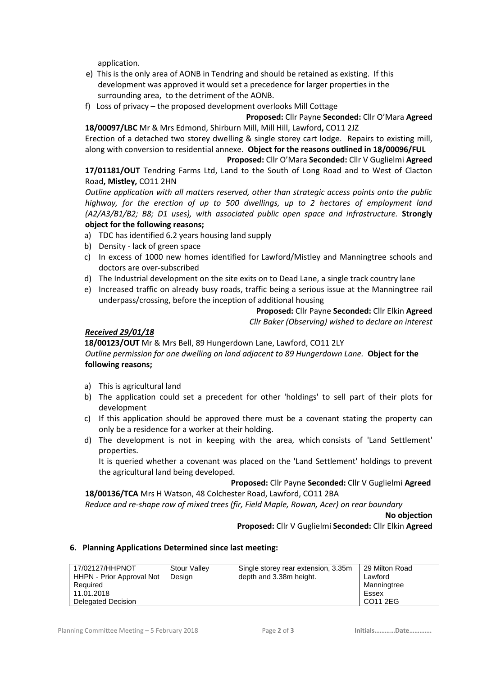application.

- e) This is the only area of AONB in Tendring and should be retained as existing. If this development was approved it would set a precedence for larger properties in the surrounding area, to the detriment of the AONB.
- f) Loss of privacy the proposed development overlooks Mill Cottage

**Proposed:** Cllr Payne **Seconded:** Cllr O'Mara **Agreed 18/00097/LBC** Mr & Mrs Edmond, Shirburn Mill, Mill Hill, Lawford**,** CO11 2JZ

Erection of a detached two storey dwelling & single storey cart lodge. Repairs to existing mill, along with conversion to residential annexe. **Object for the reasons outlined in 18/00096/FUL**

**Proposed:** Cllr O'Mara **Seconded:** Cllr V Guglielmi **Agreed**

**17/01181/OUT** Tendring Farms Ltd, Land to the South of Long Road and to West of Clacton Road**, Mistley,** CO11 2HN

*Outline application with all matters reserved, other than strategic access points onto the public highway, for the erection of up to 500 dwellings, up to 2 hectares of employment land (A2/A3/B1/B2; B8; D1 uses), with associated public open space and infrastructure.* **Strongly object for the following reasons;**

- a) TDC has identified 6.2 years housing land supply
- b) Density lack of green space
- c) In excess of 1000 new homes identified for Lawford/Mistley and Manningtree schools and doctors are over-subscribed
- d) The Industrial development on the site exits on to Dead Lane, a single track country lane
- e) Increased traffic on already busy roads, traffic being a serious issue at the Manningtree rail underpass/crossing, before the inception of additional housing

**Proposed:** Cllr Payne **Seconded:** Cllr Elkin **Agreed** *Cllr Baker (Observing) wished to declare an interest*

#### *Received 29/01/18*

 **18/00123/OUT** Mr & Mrs Bell, 89 Hungerdown Lane, Lawford, CO11 2LY *Outline permission for one dwelling on land adjacent to 89 Hungerdown Lane.* **Object for the following reasons;**

- a) This is agricultural land
- b) The application could set a precedent for other 'holdings' to sell part of their plots for development
- c) If this application should be approved there must be a covenant stating the property can only be a residence for a worker at their holding.
- d) The development is not in keeping with the area, which consists of 'Land Settlement' properties.

It is queried whether a covenant was placed on the 'Land Settlement' holdings to prevent the agricultural land being developed.

 **Proposed:** Cllr Payne **Seconded:** Cllr V Guglielmi **Agreed**

**18/00136/TCA** Mrs H Watson, 48 Colchester Road, Lawford, CO11 2BA *Reduce and re-shape row of mixed trees (fir, Field Maple, Rowan, Acer) on rear boundary*

**No objection**

**Proposed:** Cllr V Guglielmi **Seconded:** Cllr Elkin **Agreed**

#### **6. Planning Applications Determined since last meeting:**

| 17/02127/HHPNOT<br>HHPN - Prior Approval Not<br>Required<br>11.01.2018 | Stour Valley<br>Design | Single storey rear extension, 3.35m<br>depth and 3.38m height. | 29 Milton Road<br>Lawford<br>Manningtree<br>Essex |
|------------------------------------------------------------------------|------------------------|----------------------------------------------------------------|---------------------------------------------------|
| Delegated Decision                                                     |                        |                                                                | CO11 2EG                                          |